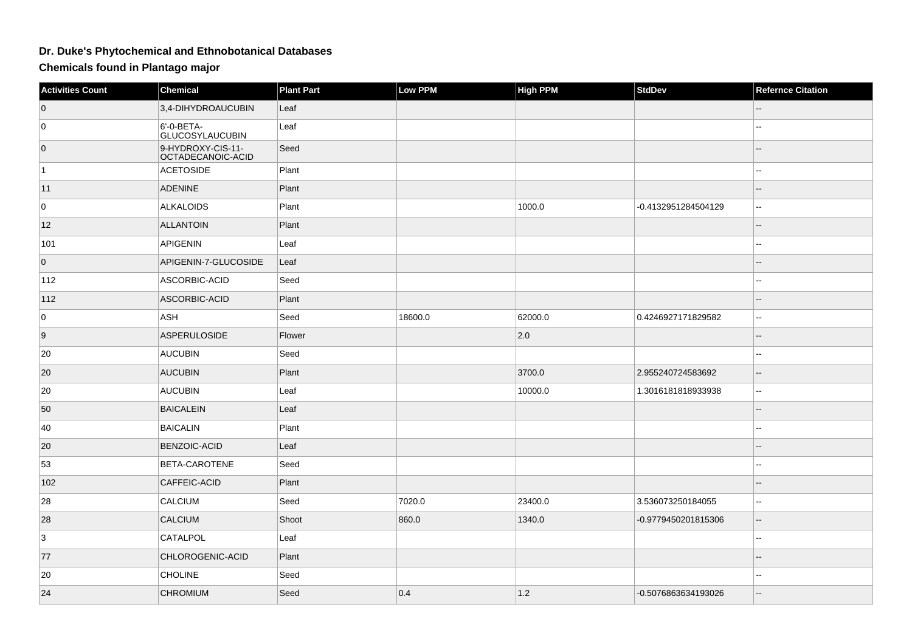## **Dr. Duke's Phytochemical and Ethnobotanical Databases**

**Chemicals found in Plantago major**

| <b>Activities Count</b> | Chemical                               | <b>Plant Part</b> | <b>Low PPM</b> | <b>High PPM</b> | <b>StdDev</b>       | <b>Refernce Citation</b> |
|-------------------------|----------------------------------------|-------------------|----------------|-----------------|---------------------|--------------------------|
| $\overline{0}$          | 3,4-DIHYDROAUCUBIN                     | Leaf              |                |                 |                     |                          |
| 0                       | 6'-0-BETA-<br><b>GLUCOSYLAUCUBIN</b>   | Leaf              |                |                 |                     | ۵.                       |
| $\overline{0}$          | 9-HYDROXY-CIS-11-<br>OCTADECANOIC-ACID | Seed              |                |                 |                     | ш,                       |
| $\vert$ 1               | <b>ACETOSIDE</b>                       | Plant             |                |                 |                     | $-1$                     |
| 11                      | <b>ADENINE</b>                         | Plant             |                |                 |                     | $\overline{a}$           |
| 0                       | <b>ALKALOIDS</b>                       | Plant             |                | 1000.0          | -0.4132951284504129 | щ.                       |
| 12                      | <b>ALLANTOIN</b>                       | Plant             |                |                 |                     |                          |
| 101                     | <b>APIGENIN</b>                        | Leaf              |                |                 |                     |                          |
| $\overline{0}$          | APIGENIN-7-GLUCOSIDE                   | Leaf              |                |                 |                     |                          |
| 112                     | ASCORBIC-ACID                          | Seed              |                |                 |                     | $-1$                     |
| 112                     | ASCORBIC-ACID                          | Plant             |                |                 |                     | --                       |
| 0                       | ASH                                    | Seed              | 18600.0        | 62000.0         | 0.4246927171829582  | $\mathbf{H}$             |
| 9                       | <b>ASPERULOSIDE</b>                    | Flower            |                | 2.0             |                     | $-$                      |
| 20                      | <b>AUCUBIN</b>                         | Seed              |                |                 |                     | $\overline{a}$           |
| 20                      | <b>AUCUBIN</b>                         | Plant             |                | 3700.0          | 2.955240724583692   | $\qquad \qquad -$        |
| 20                      | <b>AUCUBIN</b>                         | Leaf              |                | 10000.0         | 1.3016181818933938  | $\mathbf{u}$             |
| 50                      | <b>BAICALEIN</b>                       | Leaf              |                |                 |                     |                          |
| 40                      | <b>BAICALIN</b>                        | Plant             |                |                 |                     | --                       |
| 20                      | <b>BENZOIC-ACID</b>                    | Leaf              |                |                 |                     | $\overline{a}$           |
| 53                      | BETA-CAROTENE                          | Seed              |                |                 |                     |                          |
| 102                     | CAFFEIC-ACID                           | Plant             |                |                 |                     |                          |
| 28                      | <b>CALCIUM</b>                         | Seed              | 7020.0         | 23400.0         | 3.536073250184055   | ۵.                       |
| 28                      | <b>CALCIUM</b>                         | Shoot             | 860.0          | 1340.0          | -0.9779450201815306 | Ξ.                       |
| 3                       | CATALPOL                               | Leaf              |                |                 |                     | $-1$                     |
| 77                      | CHLOROGENIC-ACID                       | Plant             |                |                 |                     | 4                        |
| 20                      | <b>CHOLINE</b>                         | Seed              |                |                 |                     | ۵.                       |
| 24                      | <b>CHROMIUM</b>                        | Seed              | 0.4            | $1.2$           | -0.5076863634193026 | $-$                      |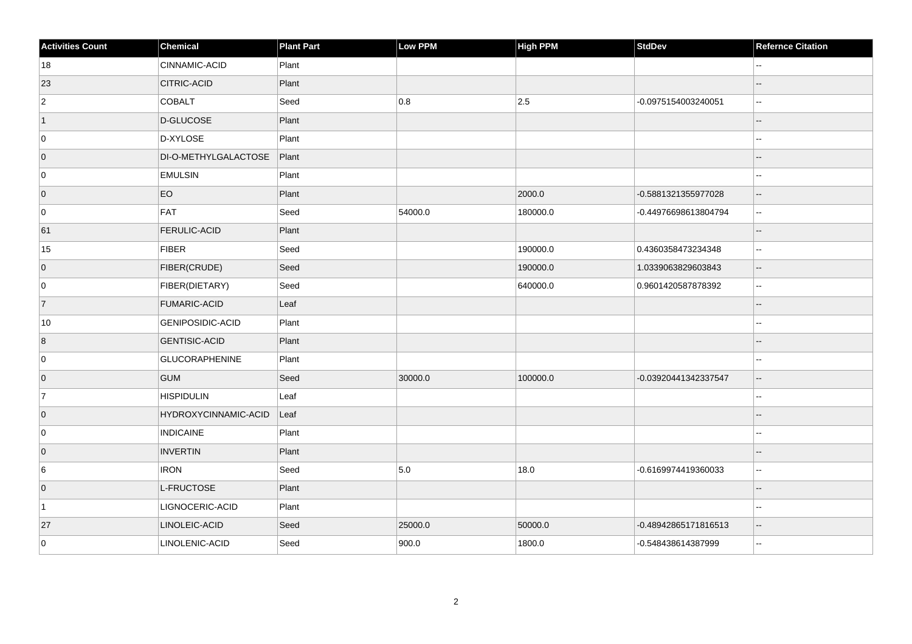| <b>Activities Count</b> | Chemical                    | <b>Plant Part</b> | Low PPM | High PPM | <b>StdDev</b>        | <b>Refernce Citation</b> |
|-------------------------|-----------------------------|-------------------|---------|----------|----------------------|--------------------------|
| 18                      | CINNAMIC-ACID               | Plant             |         |          |                      | --                       |
| 23                      | <b>CITRIC-ACID</b>          | Plant             |         |          |                      |                          |
| $\overline{2}$          | <b>COBALT</b>               | Seed              | 0.8     | 2.5      | -0.0975154003240051  | $\overline{\phantom{a}}$ |
| $\vert$ 1               | D-GLUCOSE                   | Plant             |         |          |                      | --                       |
| 0                       | D-XYLOSE                    | Plant             |         |          |                      |                          |
| $\overline{0}$          | DI-O-METHYLGALACTOSE        | Plant             |         |          |                      |                          |
| 0                       | <b>EMULSIN</b>              | Plant             |         |          |                      | --                       |
| $\overline{0}$          | EO                          | Plant             |         | 2000.0   | -0.5881321355977028  | $\overline{a}$           |
| 0                       | FAT                         | Seed              | 54000.0 | 180000.0 | -0.44976698613804794 | ц.                       |
| 61                      | <b>FERULIC-ACID</b>         | Plant             |         |          |                      | $-$                      |
| 15                      | FIBER                       | Seed              |         | 190000.0 | 0.4360358473234348   | $\overline{\phantom{a}}$ |
| $\overline{0}$          | FIBER(CRUDE)                | Seed              |         | 190000.0 | 1.0339063829603843   | $\overline{\phantom{a}}$ |
| 0                       | FIBER(DIETARY)              | Seed              |         | 640000.0 | 0.9601420587878392   | $\mathbf{u}$             |
| $\vert$ 7               | <b>FUMARIC-ACID</b>         | Leaf              |         |          |                      | Ξ.                       |
| 10                      | GENIPOSIDIC-ACID            | Plant             |         |          |                      | ۵.                       |
| $\boldsymbol{8}$        | GENTISIC-ACID               | Plant             |         |          |                      | $-$                      |
| 0                       | <b>GLUCORAPHENINE</b>       | Plant             |         |          |                      | ۵.                       |
| $\overline{0}$          | <b>GUM</b>                  | Seed              | 30000.0 | 100000.0 | -0.03920441342337547 | $\overline{\phantom{a}}$ |
| 7                       | <b>HISPIDULIN</b>           | Leaf              |         |          |                      | --                       |
| $\overline{0}$          | <b>HYDROXYCINNAMIC-ACID</b> | Leaf              |         |          |                      |                          |
| 0                       | <b>INDICAINE</b>            | Plant             |         |          |                      | --                       |
| $\overline{0}$          | <b>INVERTIN</b>             | Plant             |         |          |                      | $-$                      |
| 6                       | <b>IRON</b>                 | Seed              | 5.0     | 18.0     | -0.6169974419360033  | Щ,                       |
| $\overline{0}$          | L-FRUCTOSE                  | Plant             |         |          |                      | $-$                      |
| $\vert$ 1               | LIGNOCERIC-ACID             | Plant             |         |          |                      |                          |
| 27                      | LINOLEIC-ACID               | Seed              | 25000.0 | 50000.0  | -0.48942865171816513 | $\overline{\phantom{a}}$ |
| 0                       | LINOLENIC-ACID              | Seed              | 900.0   | 1800.0   | -0.548438614387999   | $\mathbf{u}$             |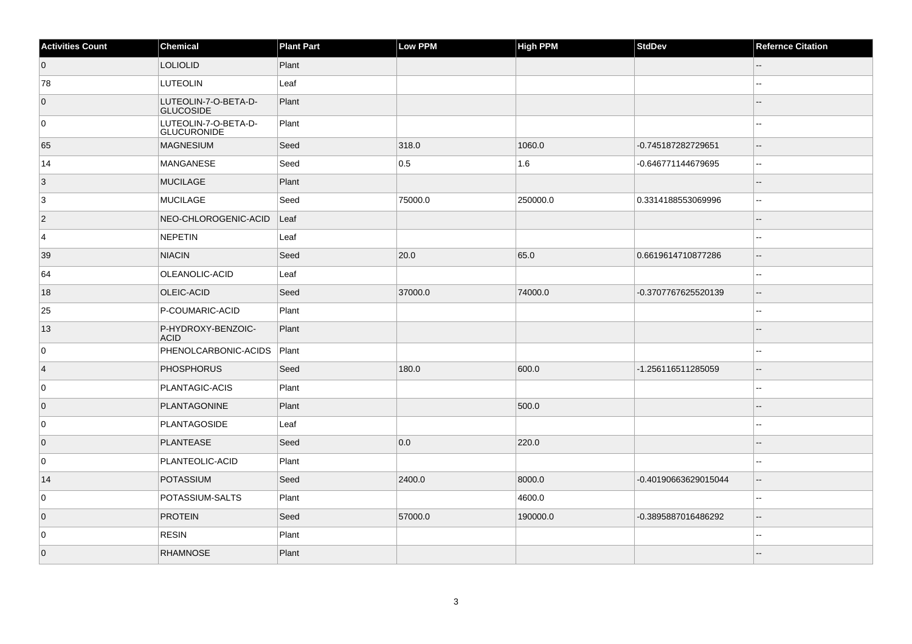| <b>Activities Count</b> | Chemical                                   | <b>Plant Part</b> | Low PPM | <b>High PPM</b> | <b>StdDev</b>        | <b>Refernce Citation</b> |
|-------------------------|--------------------------------------------|-------------------|---------|-----------------|----------------------|--------------------------|
| $\overline{0}$          | <b>LOLIOLID</b>                            | Plant             |         |                 |                      |                          |
| 78                      | <b>LUTEOLIN</b>                            | Leaf              |         |                 |                      | $\overline{\phantom{a}}$ |
| $\overline{0}$          | LUTEOLIN-7-O-BETA-D-<br><b>GLUCOSIDE</b>   | Plant             |         |                 |                      |                          |
| 0                       | LUTEOLIN-7-O-BETA-D-<br><b>GLUCURONIDE</b> | Plant             |         |                 |                      | $\sim$                   |
| 65                      | MAGNESIUM                                  | Seed              | 318.0   | 1060.0          | -0.745187282729651   | Ξ.                       |
| 14                      | MANGANESE                                  | Seed              | 0.5     | 1.6             | -0.646771144679695   | $\overline{\phantom{a}}$ |
| $\vert 3 \vert$         | <b>MUCILAGE</b>                            | Plant             |         |                 |                      | Ξ.                       |
| 3                       | MUCILAGE                                   | Seed              | 75000.0 | 250000.0        | 0.3314188553069996   | Ξ.                       |
| $\vert$ 2               | NEO-CHLOROGENIC-ACID                       | Leaf              |         |                 |                      |                          |
| 4                       | NEPETIN                                    | Leaf              |         |                 |                      | $\overline{\phantom{a}}$ |
| 39                      | <b>NIACIN</b>                              | Seed              | 20.0    | 65.0            | 0.6619614710877286   | $-$                      |
| 64                      | OLEANOLIC-ACID                             | Leaf              |         |                 |                      | Ξ.                       |
| 18                      | <b>OLEIC-ACID</b>                          | Seed              | 37000.0 | 74000.0         | -0.3707767625520139  | $-$                      |
| 25                      | P-COUMARIC-ACID                            | Plant             |         |                 |                      |                          |
| 13                      | P-HYDROXY-BENZOIC-<br><b>ACID</b>          | Plant             |         |                 |                      |                          |
| $\mathbf 0$             | PHENOLCARBONIC-ACIDS                       | Plant             |         |                 |                      | $\overline{\phantom{a}}$ |
| $\overline{4}$          | <b>PHOSPHORUS</b>                          | Seed              | 180.0   | 600.0           | -1.256116511285059   | $-$                      |
| 0                       | PLANTAGIC-ACIS                             | Plant             |         |                 |                      | $\sim$                   |
| $\overline{0}$          | <b>PLANTAGONINE</b>                        | Plant             |         | 500.0           |                      |                          |
| 0                       | PLANTAGOSIDE                               | Leaf              |         |                 |                      |                          |
| $\overline{0}$          | <b>PLANTEASE</b>                           | Seed              | 0.0     | 220.0           |                      | Ξ.                       |
| 0                       | PLANTEOLIC-ACID                            | Plant             |         |                 |                      | $-$                      |
| 14                      | POTASSIUM                                  | Seed              | 2400.0  | 8000.0          | -0.40190663629015044 | $-$                      |
| 0                       | POTASSIUM-SALTS                            | Plant             |         | 4600.0          |                      | Ξ.                       |
| $\overline{0}$          | <b>PROTEIN</b>                             | Seed              | 57000.0 | 190000.0        | -0.3895887016486292  | $\sim$                   |
| 0                       | <b>RESIN</b>                               | Plant             |         |                 |                      | $\overline{a}$           |
| $\overline{0}$          | <b>RHAMNOSE</b>                            | Plant             |         |                 |                      |                          |